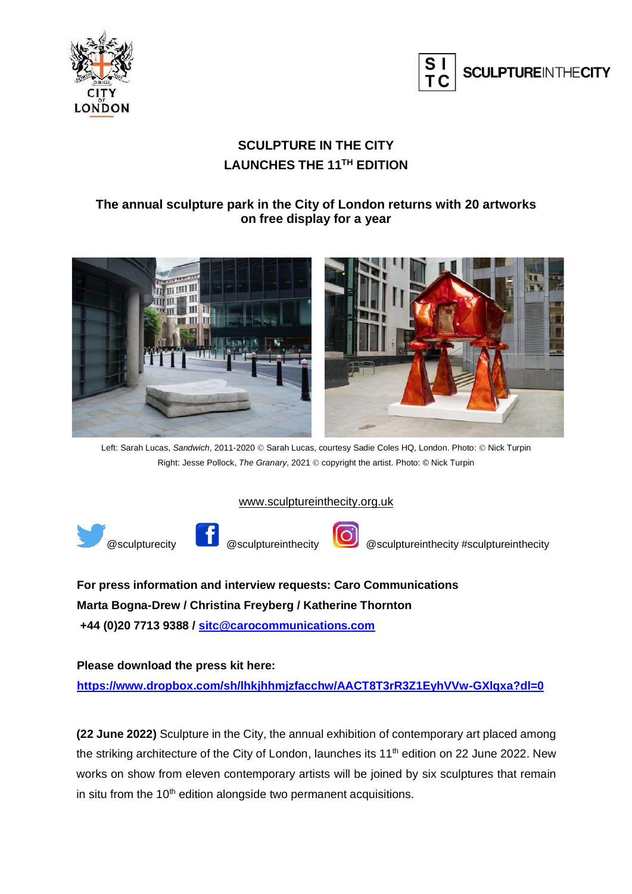



### **SCULPTURE IN THE CITY LAUNCHES THE 11TH EDITION**

#### **The annual sculpture park in the City of London returns with 20 artworks on free display for a year**



Left: Sarah Lucas, *Sandwich*, 2011-2020 © Sarah Lucas, courtesy Sadie Coles HQ, London. Photo: © Nick Turpin Right: Jesse Pollock, *The Granary*, 2021 © copyright the artist. Photo: © Nick Turpin

#### [www.sculptureinthecity.org.uk](http://www.sculptureinthecity.org.uk/)





@sculpturecity @sculptureinthecity @sculptureinthecity #sculptureinthecity

**For press information and interview requests: Caro Communications Marta Bogna-Drew / Christina Freyberg / Katherine Thornton +44 (0)20 7713 9388 / [sitc@carocommunications.com](mailto:sitc@carocommunications.com)**

**Please download the press kit here: <https://www.dropbox.com/sh/lhkjhhmjzfacchw/AACT8T3rR3Z1EyhVVw-GXlqxa?dl=0>**

**(22 June 2022)** Sculpture in the City, the annual exhibition of contemporary art placed among the striking architecture of the City of London, launches its 11<sup>th</sup> edition on 22 June 2022. New works on show from eleven contemporary artists will be joined by six sculptures that remain in situ from the  $10<sup>th</sup>$  edition alongside two permanent acquisitions.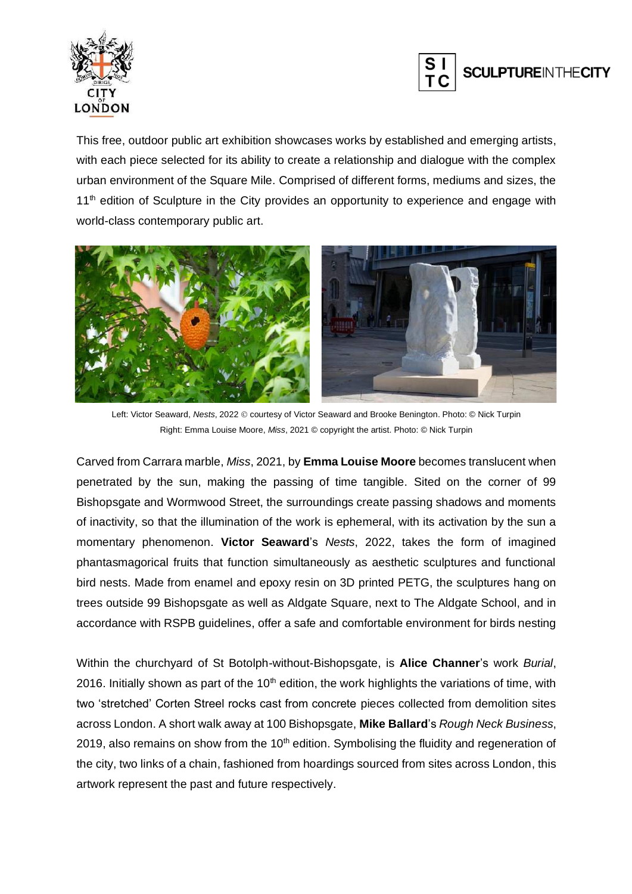



This free, outdoor public art exhibition showcases works by established and emerging artists, with each piece selected for its ability to create a relationship and dialogue with the complex urban environment of the Square Mile. Comprised of different forms, mediums and sizes, the  $11<sup>th</sup>$  edition of Sculpture in the City provides an opportunity to experience and engage with world-class contemporary public art.



Left: Victor Seaward, *Nests*, 2022 © courtesy of Victor Seaward and Brooke Benington. Photo: © Nick Turpin Right: Emma Louise Moore, *Miss*, 2021 © copyright the artist. Photo: © Nick Turpin

Carved from Carrara marble, *Miss*, 2021, by **Emma Louise Moore** becomes translucent when penetrated by the sun, making the passing of time tangible. Sited on the corner of 99 Bishopsgate and Wormwood Street, the surroundings create passing shadows and moments of inactivity, so that the illumination of the work is ephemeral, with its activation by the sun a momentary phenomenon. **Victor Seaward**'s *Nests*, 2022, takes the form of imagined phantasmagorical fruits that function simultaneously as aesthetic sculptures and functional bird nests. Made from enamel and epoxy resin on 3D printed PETG, the sculptures hang on trees outside 99 Bishopsgate as well as Aldgate Square, next to The Aldgate School, and in accordance with RSPB guidelines, offer a safe and comfortable environment for birds nesting

Within the churchyard of St Botolph-without-Bishopsgate, is **Alice Channer**'s work *Burial*, 2016. Initially shown as part of the  $10<sup>th</sup>$  edition, the work highlights the variations of time, with two 'stretched' Corten Streel rocks cast from concrete pieces collected from demolition sites across London. A short walk away at 100 Bishopsgate, **Mike Ballard**'s *Rough Neck Business*, 2019, also remains on show from the  $10<sup>th</sup>$  edition. Symbolising the fluidity and regeneration of the city, two links of a chain, fashioned from hoardings sourced from sites across London, this artwork represent the past and future respectively.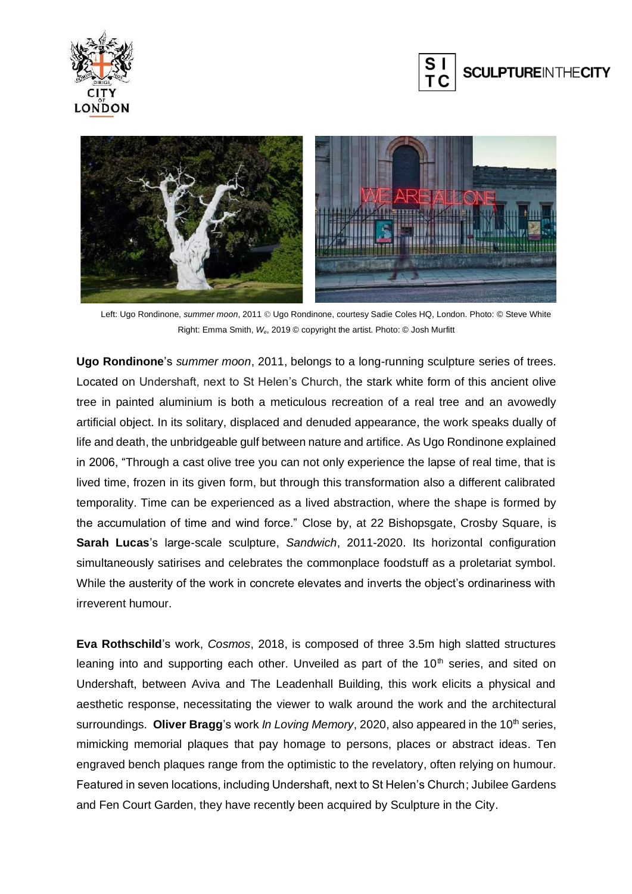





Left: Ugo Rondinone, *summer moon*, 2011 © Ugo Rondinone, courtesy Sadie Coles HQ, London. Photo: © Steve White Right: Emma Smith, *We*, 2019 © copyright the artist. Photo: © Josh Murfitt

**Ugo Rondinone**'s *summer moon*, 2011, belongs to a long-running sculpture series of trees. Located on Undershaft, next to St Helen's Church, the stark white form of this ancient olive tree in painted aluminium is both a meticulous recreation of a real tree and an avowedly artificial object. In its solitary, displaced and denuded appearance, the work speaks dually of life and death, the unbridgeable gulf between nature and artifice. As Ugo Rondinone explained in 2006, "Through a cast olive tree you can not only experience the lapse of real time, that is lived time, frozen in its given form, but through this transformation also a different calibrated temporality. Time can be experienced as a lived abstraction, where the shape is formed by the accumulation of time and wind force." Close by, at 22 Bishopsgate, Crosby Square, is **Sarah Lucas**'s large-scale sculpture, *Sandwich*, 2011-2020. Its horizontal configuration simultaneously satirises and celebrates the commonplace foodstuff as a proletariat symbol. While the austerity of the work in concrete elevates and inverts the object's ordinariness with irreverent humour.

**Eva Rothschild**'s work, *Cosmos*, 2018, is composed of three 3.5m high slatted structures leaning into and supporting each other. Unveiled as part of the  $10<sup>th</sup>$  series, and sited on Undershaft, between Aviva and The Leadenhall Building, this work elicits a physical and aesthetic response, necessitating the viewer to walk around the work and the architectural surroundings. **Oliver Bragg**'s work *In Loving Memory*, 2020, also appeared in the 10<sup>th</sup> series, mimicking memorial plaques that pay homage to persons, places or abstract ideas. Ten engraved bench plaques range from the optimistic to the revelatory, often relying on humour. Featured in seven locations, including Undershaft, next to St Helen's Church; Jubilee Gardens and Fen Court Garden, they have recently been acquired by Sculpture in the City.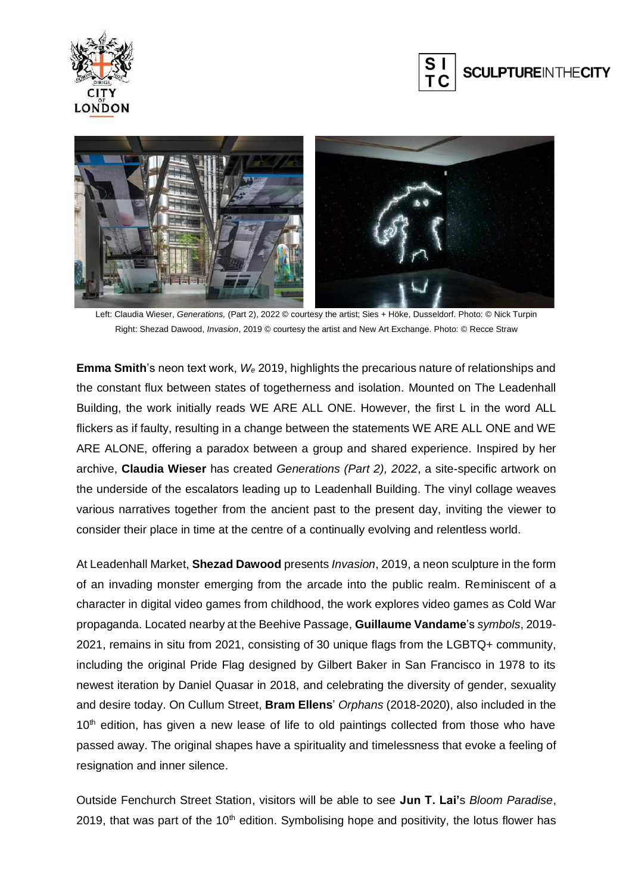





Left: Claudia Wieser, *Generations,* (Part 2), 2022 © courtesy the artist; Sies + Höke, Dusseldorf. Photo: © Nick Turpin Right: Shezad Dawood, *Invasion*, 2019 © courtesy the artist and New Art Exchange. Photo: © Recce Straw

**Emma Smith**'s neon text work, *W<sup>e</sup>* 2019, highlights the precarious nature of relationships and the constant flux between states of togetherness and isolation. Mounted on The Leadenhall Building, the work initially reads WE ARE ALL ONE. However, the first L in the word ALL flickers as if faulty, resulting in a change between the statements WE ARE ALL ONE and WE ARE ALONE, offering a paradox between a group and shared experience. Inspired by her archive, **Claudia Wieser** has created *Generations (Part 2), 2022*, a site-specific artwork on the underside of the escalators leading up to Leadenhall Building. The vinyl collage weaves various narratives together from the ancient past to the present day, inviting the viewer to consider their place in time at the centre of a continually evolving and relentless world.

At Leadenhall Market, **Shezad Dawood** presents *Invasion*, 2019, a neon sculpture in the form of an invading monster emerging from the arcade into the public realm. Reminiscent of a character in digital video games from childhood, the work explores video games as Cold War propaganda. Located nearby at the Beehive Passage, **Guillaume Vandame**'s *symbols*, 2019- 2021, remains in situ from 2021, consisting of 30 unique flags from the LGBTQ+ community, including the original Pride Flag designed by Gilbert Baker in San Francisco in 1978 to its newest iteration by Daniel Quasar in 2018, and celebrating the diversity of gender, sexuality and desire today. On Cullum Street, **Bram Ellens**' *Orphans* (2018-2020), also included in the 10<sup>th</sup> edition, has given a new lease of life to old paintings collected from those who have passed away. The original shapes have a spirituality and timelessness that evoke a feeling of resignation and inner silence.

Outside Fenchurch Street Station, visitors will be able to see **Jun T. Lai'**s *Bloom Paradise*, 2019, that was part of the 10<sup>th</sup> edition. Symbolising hope and positivity, the lotus flower has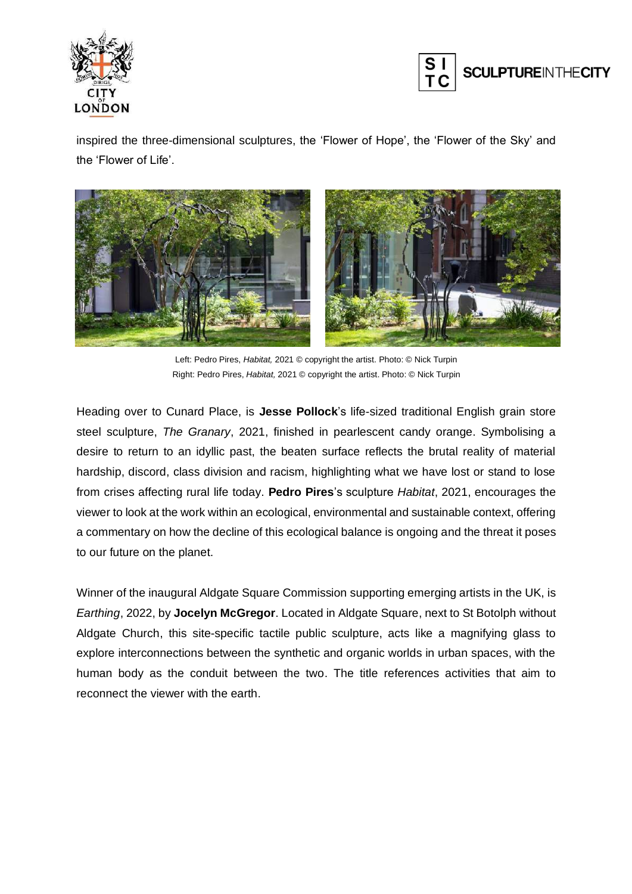



inspired the three-dimensional sculptures, the 'Flower of Hope', the 'Flower of the Sky' and the 'Flower of Life'.



Left: Pedro Pires, *Habitat,* 2021 © copyright the artist. Photo: © Nick Turpin Right: Pedro Pires, *Habitat,* 2021 © copyright the artist. Photo: © Nick Turpin

Heading over to Cunard Place, is **Jesse Pollock**'s life-sized traditional English grain store steel sculpture, *The Granary*, 2021, finished in pearlescent candy orange. Symbolising a desire to return to an idyllic past, the beaten surface reflects the brutal reality of material hardship, discord, class division and racism, highlighting what we have lost or stand to lose from crises affecting rural life today. **Pedro Pires**'s sculpture *Habitat*, 2021, encourages the viewer to look at the work within an ecological, environmental and sustainable context, offering a commentary on how the decline of this ecological balance is ongoing and the threat it poses to our future on the planet.

Winner of the inaugural Aldgate Square Commission supporting emerging artists in the UK, is *Earthing*, 2022, by **Jocelyn McGregor**. Located in Aldgate Square, next to St Botolph without Aldgate Church, this site-specific tactile public sculpture, acts like a magnifying glass to explore interconnections between the synthetic and organic worlds in urban spaces, with the human body as the conduit between the two. The title references activities that aim to reconnect the viewer with the earth.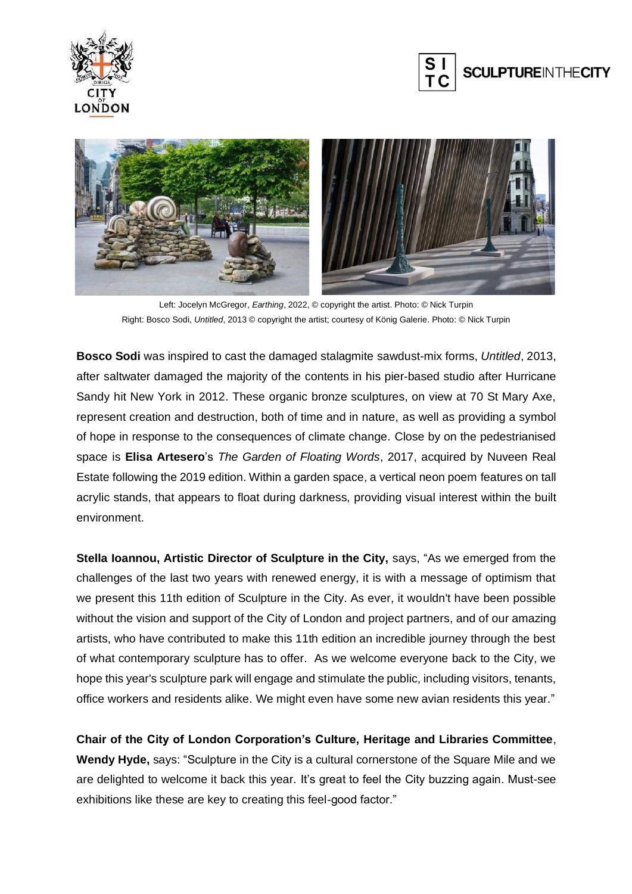





Left: Jocelyn McGregor, *Earthing*, 2022, © copyright the artist. Photo: © Nick Turpin Right: Bosco Sodi, *Untitled*, 2013 © copyright the artist; courtesy of König Galerie. Photo: © Nick Turpin

**Bosco Sodi** was inspired to cast the damaged stalagmite sawdust-mix forms, *Untitled*, 2013, after saltwater damaged the majority of the contents in his pier-based studio after Hurricane Sandy hit New York in 2012. These organic bronze sculptures, on view at 70 St Mary Axe, represent creation and destruction, both of time and in nature, as well as providing a symbol of hope in response to the consequences of climate change. Close by on the pedestrianised space is **Elisa Artesero**'s *The Garden of Floating Words*, 2017, acquired by Nuveen Real Estate following the 2019 edition. Within a garden space, a vertical neon poem features on tall acrylic stands, that appears to float during darkness, providing visual interest within the built environment.

**Stella Ioannou, Artistic Director of Sculpture in the City,** says, "As we emerged from the challenges of the last two years with renewed energy, it is with a message of optimism that we present this 11th edition of Sculpture in the City. As ever, it wouldn't have been possible without the vision and support of the City of London and project partners, and of our amazing artists, who have contributed to make this 11th edition an incredible journey through the best of what contemporary sculpture has to offer. As we welcome everyone back to the City, we hope this year's sculpture park will engage and stimulate the public, including visitors, tenants, office workers and residents alike. We might even have some new avian residents this year."

**Chair of the City of London Corporation's Culture, Heritage and Libraries Committee**, **Wendy Hyde,** says: "Sculpture in the City is a cultural cornerstone of the Square Mile and we are delighted to welcome it back this year. It's great to feel the City buzzing again. Must-see exhibitions like these are key to creating this feel-good factor."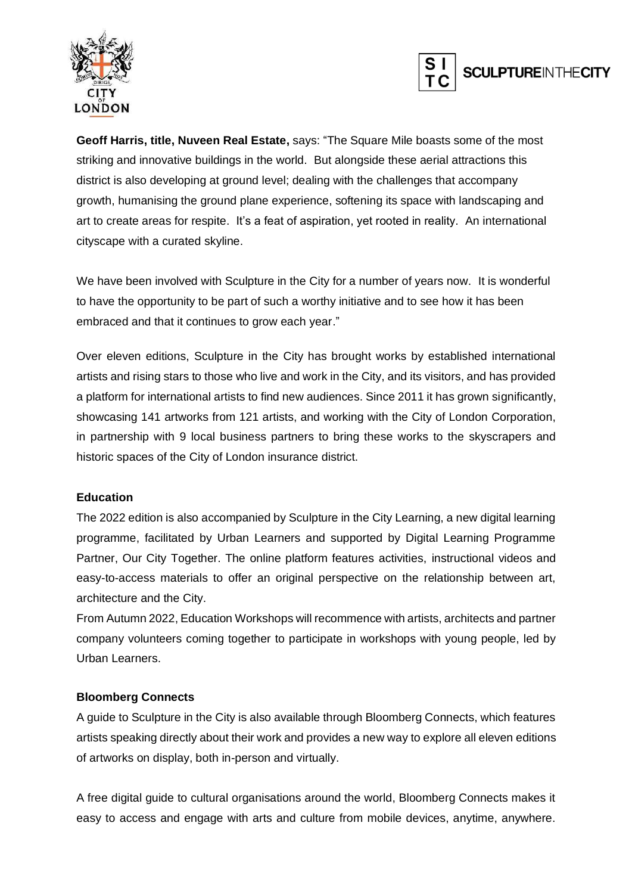



**Geoff Harris, title, Nuveen Real Estate,** says: "The Square Mile boasts some of the most striking and innovative buildings in the world. But alongside these aerial attractions this district is also developing at ground level; dealing with the challenges that accompany growth, humanising the ground plane experience, softening its space with landscaping and art to create areas for respite. It's a feat of aspiration, yet rooted in reality. An international cityscape with a curated skyline.

We have been involved with Sculpture in the City for a number of years now. It is wonderful to have the opportunity to be part of such a worthy initiative and to see how it has been embraced and that it continues to grow each year."

Over eleven editions, Sculpture in the City has brought works by established international artists and rising stars to those who live and work in the City, and its visitors, and has provided a platform for international artists to find new audiences. Since 2011 it has grown significantly, showcasing 141 artworks from 121 artists, and working with the City of London Corporation, in partnership with 9 local business partners to bring these works to the skyscrapers and historic spaces of the City of London insurance district.

#### **Education**

The 2022 edition is also accompanied by Sculpture in the City Learning, a new digital learning programme, facilitated by Urban Learners and supported by Digital Learning Programme Partner, Our City Together. The online platform features activities, instructional videos and easy-to-access materials to offer an original perspective on the relationship between art, architecture and the City.

From Autumn 2022, Education Workshops will recommence with artists, architects and partner company volunteers coming together to participate in workshops with young people, led by Urban Learners.

#### **Bloomberg Connects**

A guide to Sculpture in the City is also available through Bloomberg Connects, which features artists speaking directly about their work and provides a new way to explore all eleven editions of artworks on display, both in-person and virtually.

A free digital guide to cultural organisations around the world, Bloomberg Connects makes it easy to access and engage with arts and culture from mobile devices, anytime, anywhere.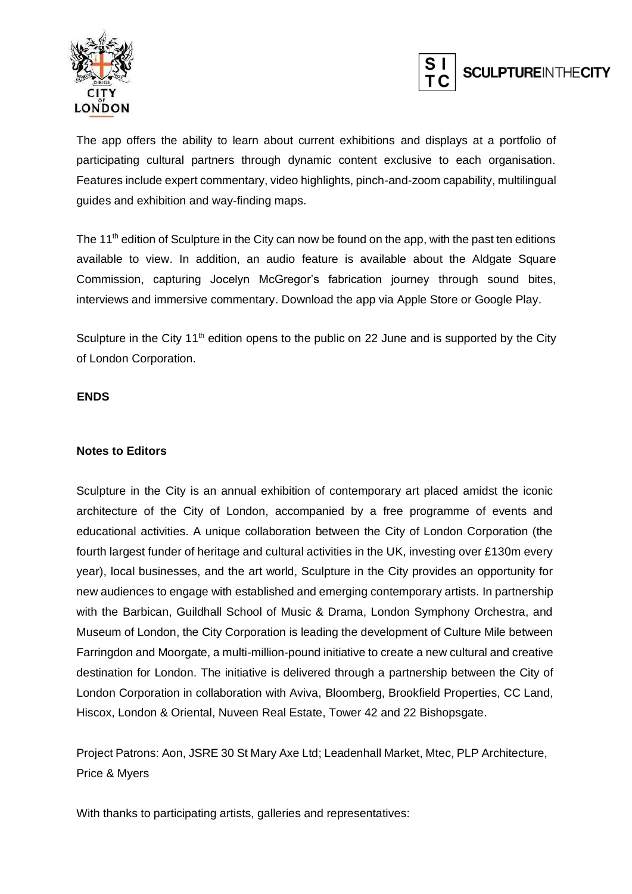



The app offers the ability to learn about current exhibitions and displays at a portfolio of participating cultural partners through dynamic content exclusive to each organisation. Features include expert commentary, video highlights, pinch-and-zoom capability, multilingual guides and exhibition and way-finding maps.

The 11<sup>th</sup> edition of Sculpture in the City can now be found on the app, with the past ten editions available to view. In addition, an audio feature is available about the Aldgate Square Commission, capturing Jocelyn McGregor's fabrication journey through sound bites, interviews and immersive commentary. Download the app via Apple Store or Google Play.

Sculpture in the City  $11<sup>th</sup>$  edition opens to the public on 22 June and is supported by the City of London Corporation.

#### **ENDS**

#### **Notes to Editors**

Sculpture in the City is an annual exhibition of contemporary art placed amidst the iconic architecture of the City of London, accompanied by a free programme of events and educational activities. A unique collaboration between the City of London Corporation (the fourth largest funder of heritage and cultural activities in the UK, investing over £130m every year), local businesses, and the art world, Sculpture in the City provides an opportunity for new audiences to engage with established and emerging contemporary artists. In partnership with the Barbican, Guildhall School of Music & Drama, London Symphony Orchestra, and Museum of London, the City Corporation is leading the development of Culture Mile between Farringdon and Moorgate, a multi-million-pound initiative to create a new cultural and creative destination for London. The initiative is delivered through a partnership between the City of London Corporation in collaboration with Aviva, Bloomberg, Brookfield Properties, CC Land, Hiscox, London & Oriental, Nuveen Real Estate, Tower 42 and 22 Bishopsgate.

Project Patrons: Aon, JSRE 30 St Mary Axe Ltd; Leadenhall Market, Mtec, PLP Architecture, Price & Myers

With thanks to participating artists, galleries and representatives: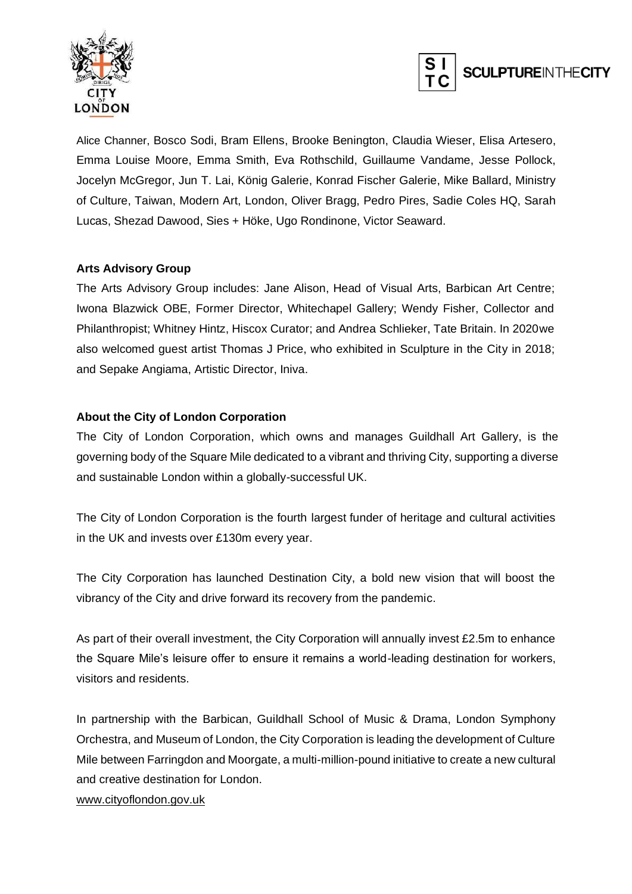



Alice Channer, Bosco Sodi, Bram Ellens, Brooke Benington, Claudia Wieser, Elisa Artesero, Emma Louise Moore, Emma Smith, Eva Rothschild, Guillaume Vandame, Jesse Pollock, Jocelyn McGregor, Jun T. Lai, König Galerie, Konrad Fischer Galerie, Mike Ballard, Ministry of Culture, Taiwan, Modern Art, London, Oliver Bragg, Pedro Pires, Sadie Coles HQ, Sarah Lucas, Shezad Dawood, Sies + Höke, Ugo Rondinone, Victor Seaward.

#### **Arts Advisory Group**

The Arts Advisory Group includes: Jane Alison, Head of Visual Arts, Barbican Art Centre; Iwona Blazwick OBE, Former Director, Whitechapel Gallery; Wendy Fisher, Collector and Philanthropist; Whitney Hintz, Hiscox Curator; and Andrea Schlieker, Tate Britain. In 2020we also welcomed guest artist Thomas J Price, who exhibited in Sculpture in the City in 2018; and Sepake Angiama, Artistic Director, Iniva.

#### **About the City of London Corporation**

The City of London Corporation, which owns and manages Guildhall Art Gallery, is the governing body of the Square Mile dedicated to a vibrant and thriving City, supporting a diverse and sustainable London within a globally-successful UK.

The City of London Corporation is the fourth largest funder of heritage and cultural activities in the UK and invests over £130m every year.

The City Corporation has launched Destination City, a bold new vision that will boost the vibrancy of the City and drive forward its recovery from the pandemic.

As part of their overall investment, the City Corporation will annually invest £2.5m to enhance the Square Mile's leisure offer to ensure it remains a world-leading destination for workers, visitors and residents.

In partnership with the Barbican, Guildhall School of Music & Drama, London Symphony Orchestra, and Museum of London, the City Corporation is leading the development of Culture Mile between Farringdon and Moorgate, a multi-million-pound initiative to create a new cultural and creative destination for London.

[www.cityoflondon.gov.uk](http://www.cityoflondon.gov.uk/)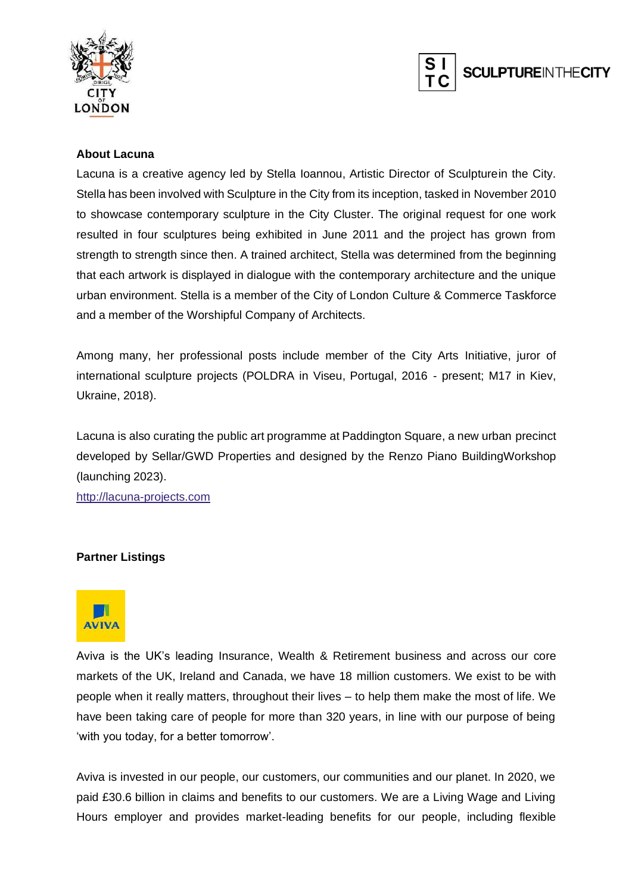



#### **About Lacuna**

Lacuna is a creative agency led by Stella Ioannou, Artistic Director of Sculpturein the City. Stella has been involved with Sculpture in the City from its inception, tasked in November 2010 to showcase contemporary sculpture in the City Cluster. The original request for one work resulted in four sculptures being exhibited in June 2011 and the project has grown from strength to strength since then. A trained architect, Stella was determined from the beginning that each artwork is displayed in dialogue with the contemporary architecture and the unique urban environment. Stella is a member of the City of London Culture & Commerce Taskforce and a member of the Worshipful Company of Architects.

Among many, her professional posts include member of the City Arts Initiative, juror of international sculpture projects (POLDRA in Viseu, Portugal, 2016 - present; M17 in Kiev, Ukraine, 2018).

Lacuna is also curating the public art programme at Paddington Square, a new urban precinct developed by Sellar/GWD Properties and designed by the Renzo Piano BuildingWorkshop (launching 2023).

[http://lacuna-projects.com](http://lacuna-projects.com/)

#### **Partner Listings**



Aviva is the UK's leading Insurance, Wealth & Retirement business and across our core markets of the UK, Ireland and Canada, we have 18 million customers. We exist to be with people when it really matters, throughout their lives – to help them make the most of life. We have been taking care of people for more than 320 years, in line with our purpose of being 'with you today, for a better tomorrow'.

Aviva is invested in our people, our customers, our communities and our planet. In 2020, we paid £30.6 billion in claims and benefits to our customers. We are a Living Wage and Living Hours employer and provides market-leading benefits for our people, including flexible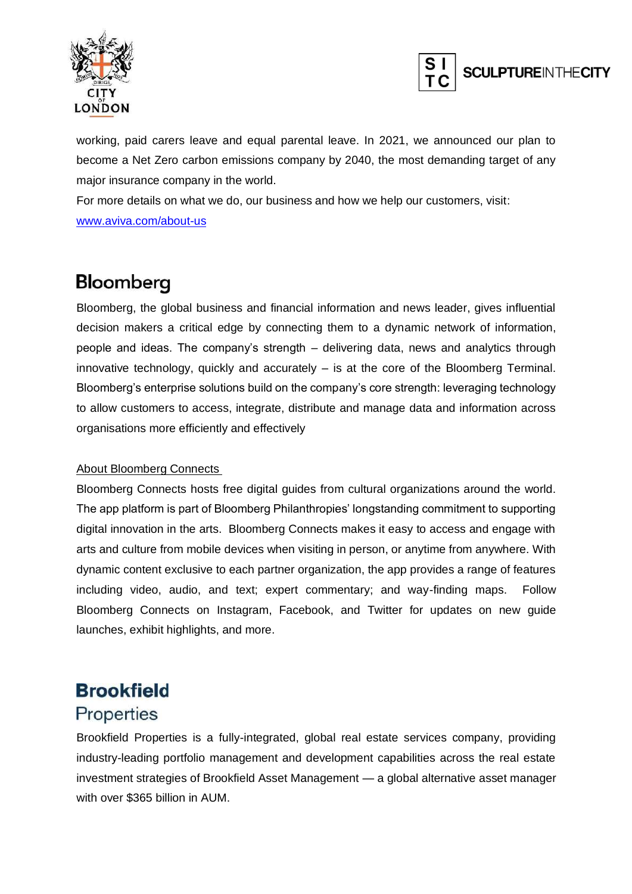



working, paid carers leave and equal parental leave. In 2021, we announced our plan to become a Net Zero carbon emissions company by 2040, the most demanding target of any major insurance company in the world.

For more details on what we do, our business and how we help our customers, visit:

[www.aviva.com/about-us](http://www.aviva.com/about-us)

## Bloomberg

Bloomberg, the global business and financial information and news leader, gives influential decision makers a critical edge by connecting them to a dynamic network of information, people and ideas. The company's strength – delivering data, news and analytics through innovative technology, quickly and accurately – is at the core of the Bloomberg Terminal. Bloomberg's enterprise solutions build on the company's core strength: leveraging technology to allow customers to access, integrate, distribute and manage data and information across organisations more efficiently and effectively

#### About Bloomberg Connects

Bloomberg Connects hosts free digital guides from cultural organizations around the world. The app platform is part of Bloomberg Philanthropies' longstanding commitment to supporting digital innovation in the arts. Bloomberg Connects makes it easy to access and engage with arts and culture from mobile devices when visiting in person, or anytime from anywhere. With dynamic content exclusive to each partner organization, the app provides a range of features including video, audio, and text; expert commentary; and way-finding maps. Follow Bloomberg Connects on [Instagram,](https://www.instagram.com/bloombergconnects/) [Facebook,](https://www.facebook.com/BloombergConnects) and [Twitter](https://twitter.com/bbgconnects?ref_src=twsrc%5Egoogle%7Ctwcamp%5Eserp%7Ctwgr%5Eauthor) for updates on new guide launches, exhibit highlights, and more.

### **Brookfield Properties**

Brookfield Properties is a fully-integrated, global real estate services company, providing industry-leading portfolio management and development capabilities across the real estate investment strategies of Brookfield Asset Management — a global alternative asset manager with over \$365 billion in AUM.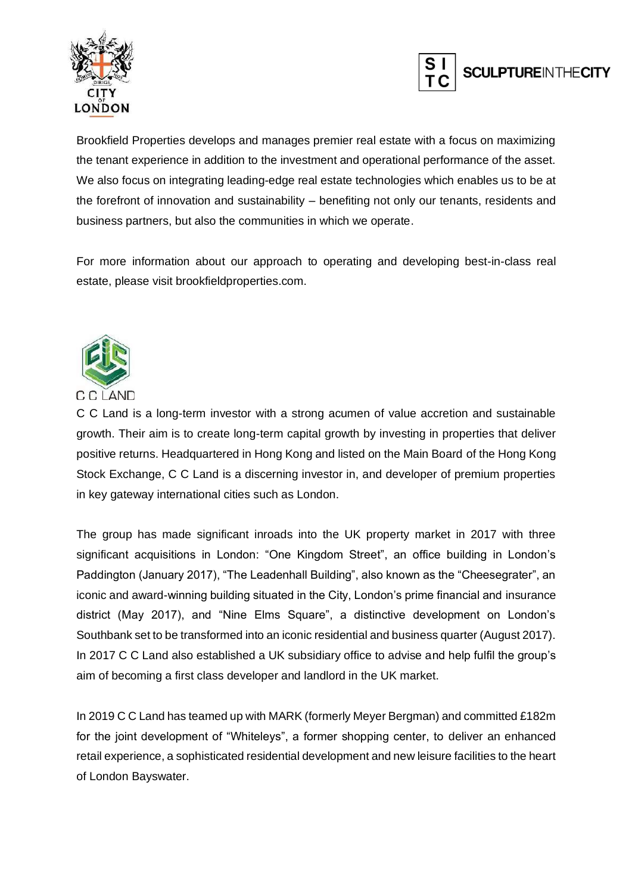



Brookfield Properties develops and manages premier real estate with a focus on maximizing the tenant experience in addition to the investment and operational performance of the asset. We also focus on integrating leading-edge real estate technologies which enables us to be at the forefront of innovation and sustainability – benefiting not only our tenants, residents and business partners, but also the communities in which we operate.

For more information about our approach to operating and developing best-in-class real estate, please visit brookfieldproperties.com.



C C Land is a long-term investor with a strong acumen of value accretion and sustainable growth. Their aim is to create long-term capital growth by investing in properties that deliver positive returns. Headquartered in Hong Kong and listed on the Main Board of the Hong Kong Stock Exchange, C C Land is a discerning investor in, and developer of premium properties in key gateway international cities such as London.

The group has made significant inroads into the UK property market in 2017 with three significant acquisitions in London: "One Kingdom Street", an office building in London's Paddington (January 2017), "The Leadenhall Building", also known as the "Cheesegrater", an iconic and award-winning building situated in the City, London's prime financial and insurance district (May 2017), and "Nine Elms Square", a distinctive development on London's Southbank set to be transformed into an iconic residential and business quarter (August 2017). In 2017 C C Land also established a UK subsidiary office to advise and help fulfil the group's aim of becoming a first class developer and landlord in the UK market.

In 2019 C C Land has teamed up with MARK (formerly Meyer Bergman) and committed £182m for the joint development of "Whiteleys", a former shopping center, to deliver an enhanced retail experience, a sophisticated residential development and new leisure facilities to the heart of London Bayswater.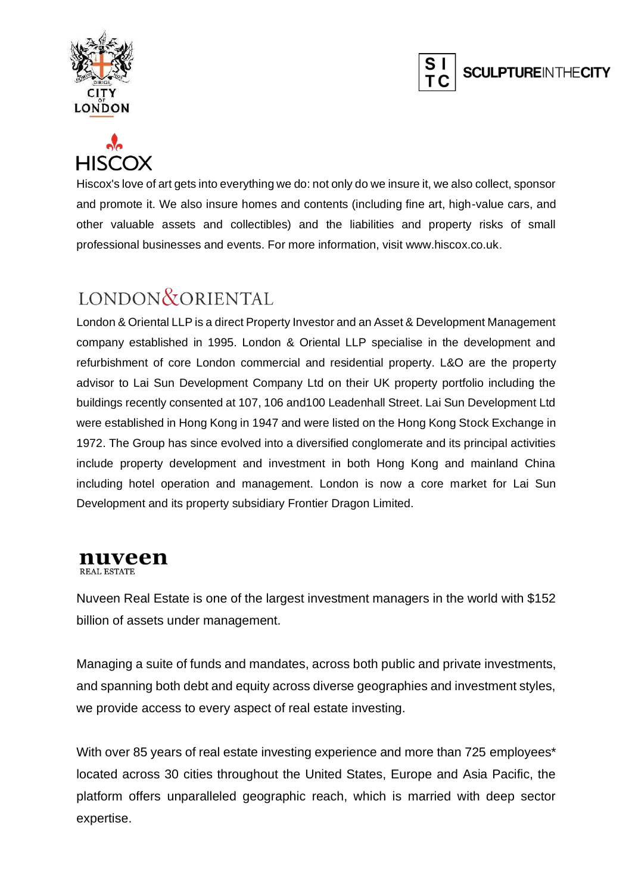





Hiscox's love of art gets into everything we do: not only do we insure it, we also collect, sponsor and promote it. We also insure homes and contents (including fine art, high-value cars, and other valuable assets and collectibles) and the liabilities and property risks of small professional businesses and events. For more information, visit www.hiscox.co.uk.

# LONDON & ORIENTAL

London & Oriental LLP is a direct Property Investor and an Asset & Development Management company established in 1995. London & Oriental LLP specialise in the development and refurbishment of core London commercial and residential property. L&O are the property advisor to Lai Sun Development Company Ltd on their UK property portfolio including the buildings recently consented at 107, 106 and100 Leadenhall Street. Lai Sun Development Ltd were established in Hong Kong in 1947 and were listed on the Hong Kong Stock Exchange in 1972. The Group has since evolved into a diversified conglomerate and its principal activities include property development and investment in both Hong Kong and mainland China including hotel operation and management. London is now a core market for Lai Sun Development and its property subsidiary Frontier Dragon Limited.

#### nuveen **REAL ESTATE**

Nuveen Real Estate is one of the largest investment managers in the world with \$152 billion of assets under management.

Managing a suite of funds and mandates, across both public and private investments, and spanning both debt and equity across diverse geographies and investment styles, we provide access to every aspect of real estate investing.

With over 85 years of real estate investing experience and more than 725 employees\* located across 30 cities throughout the United States, Europe and Asia Pacific, the platform offers unparalleled geographic reach, which is married with deep sector expertise.